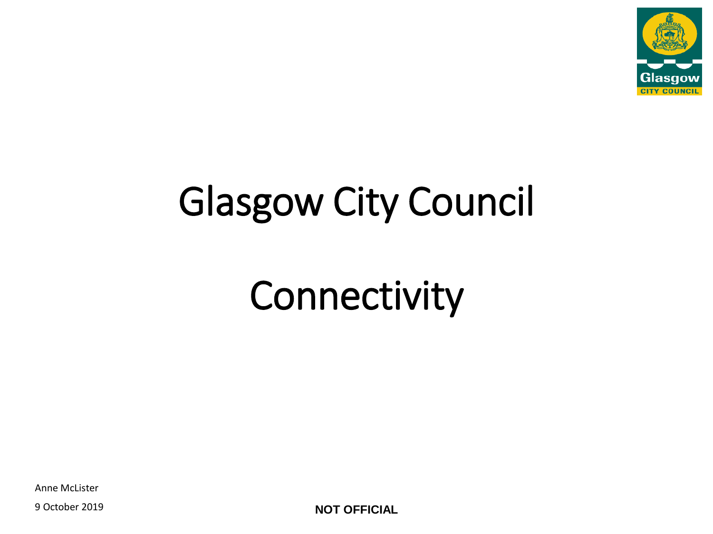

## Glasgow City Council

## **Connectivity**

Anne McLister

9 October 2019 **NOT OFFICIAL**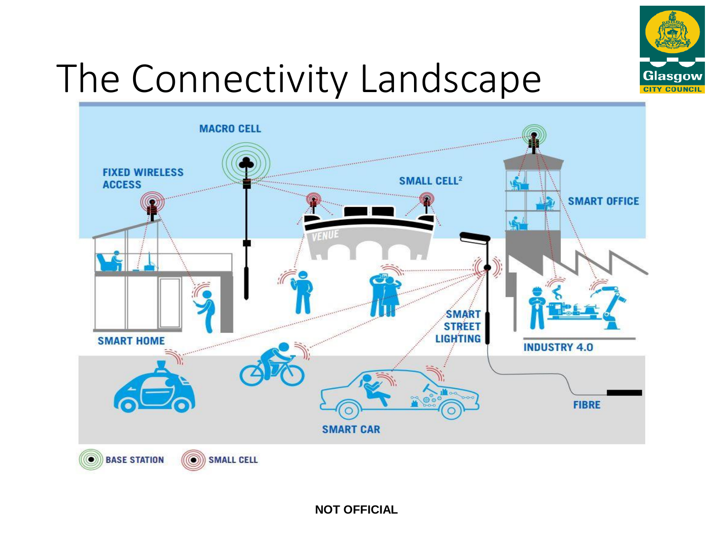

## The Connectivity Landscape

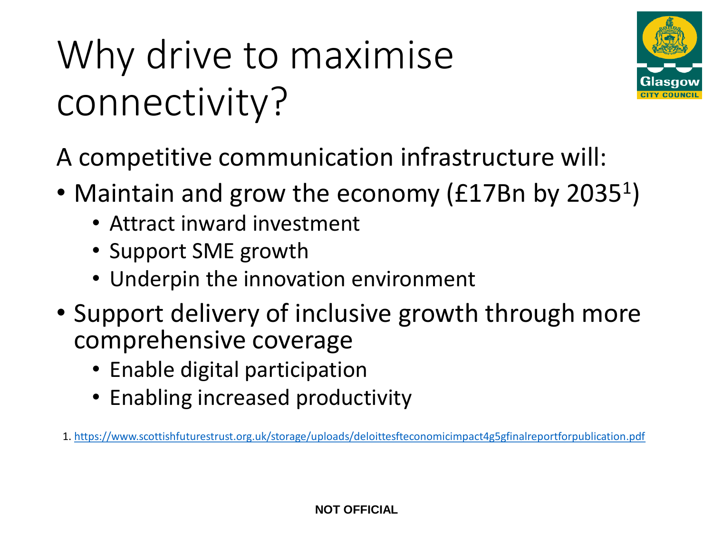# Why drive to maximise connectivity?



A competitive communication infrastructure will:

- Maintain and grow the economy (£17Bn by 2035<sup>1</sup>)
	- Attract inward investment
	- Support SME growth
	- Underpin the innovation environment
- Support delivery of inclusive growth through more comprehensive coverage
	- Enable digital participation
	- Enabling increased productivity

1. <https://www.scottishfuturestrust.org.uk/storage/uploads/deloittesfteconomicimpact4g5gfinalreportforpublication.pdf>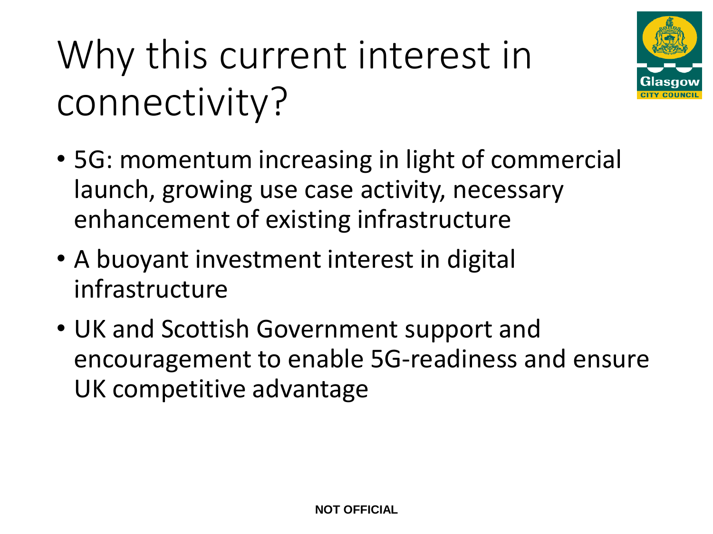Why this current interest in connectivity?



- 5G: momentum increasing in light of commercial launch, growing use case activity, necessary enhancement of existing infrastructure
- A buoyant investment interest in digital infrastructure
- UK and Scottish Government support and encouragement to enable 5G-readiness and ensure UK competitive advantage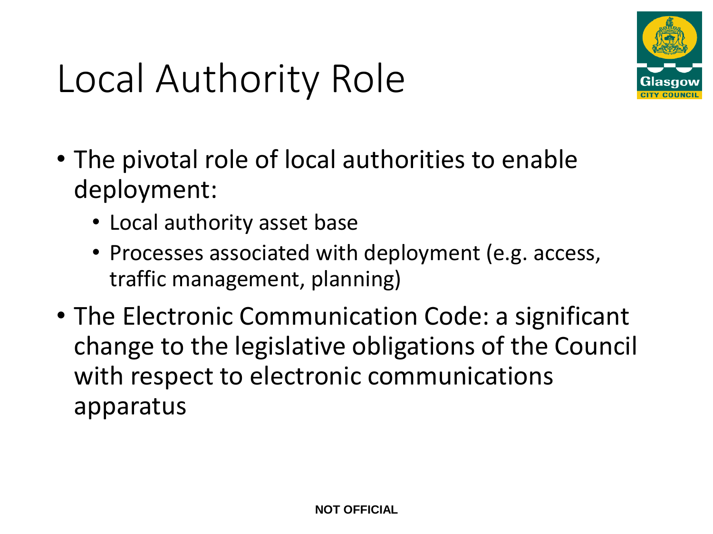

#### Local Authority Role

- The pivotal role of local authorities to enable deployment:
	- Local authority asset base
	- Processes associated with deployment (e.g. access, traffic management, planning)
- The Electronic Communication Code: a significant change to the legislative obligations of the Council with respect to electronic communications apparatus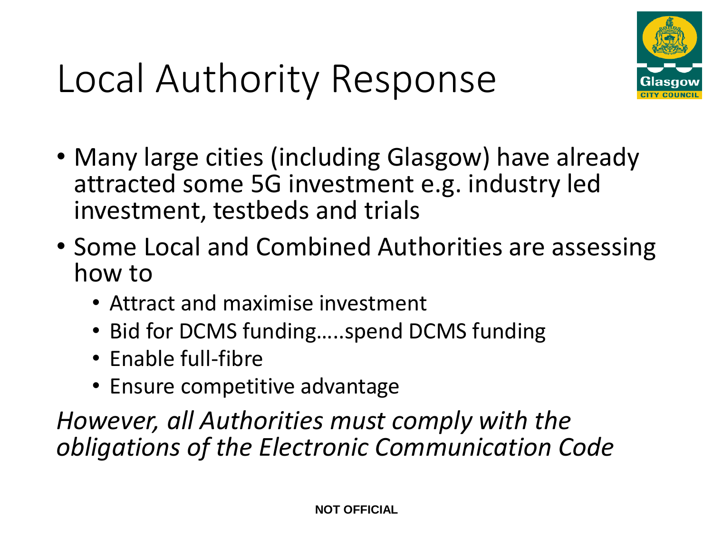

# Local Authority Response

- Many large cities (including Glasgow) have already attracted some 5G investment e.g. industry led investment, testbeds and trials
- Some Local and Combined Authorities are assessing how to
	- Attract and maximise investment
	- Bid for DCMS funding…..spend DCMS funding
	- Enable full-fibre
	- Ensure competitive advantage

*However, all Authorities must comply with the obligations of the Electronic Communication Code*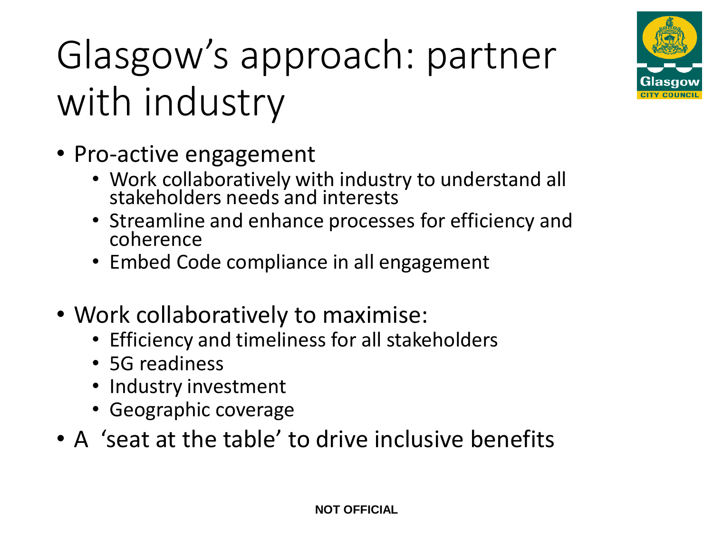

# Glasgow's approach: partner with industry

- Pro-active engagement
	- Work collaboratively with industry to understand all stakeholders needs and interests
	- Streamline and enhance processes for efficiency and coherence
	- Embed Code compliance in all engagement
- Work collaboratively to maximise:
	- Efficiency and timeliness for all stakeholders
	- 5G readiness
	- Industry investment
	- Geographic coverage
- A 'seat at the table' to drive inclusive benefits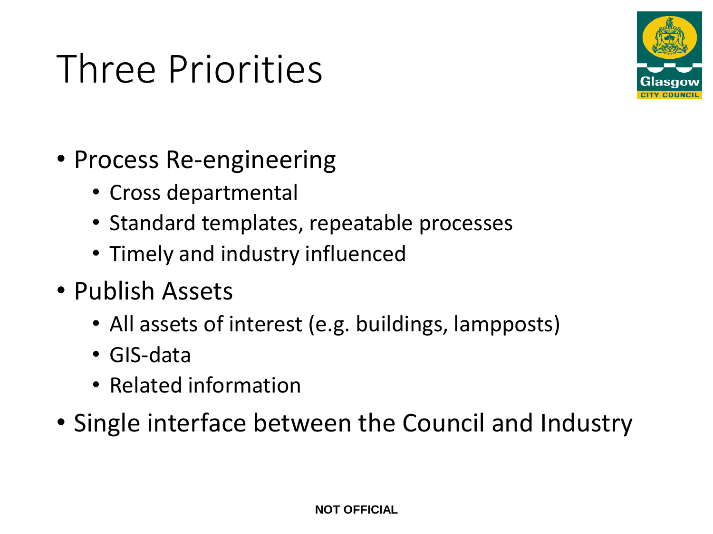## Three Priorities



- Process Re-engineering
	- Cross departmental
	- Standard templates, repeatable processes
	- Timely and industry influenced
- Publish Assets
	- All assets of interest (e.g. buildings, lampposts)
	- GIS-data
	- Related information
- Single interface between the Council and Industry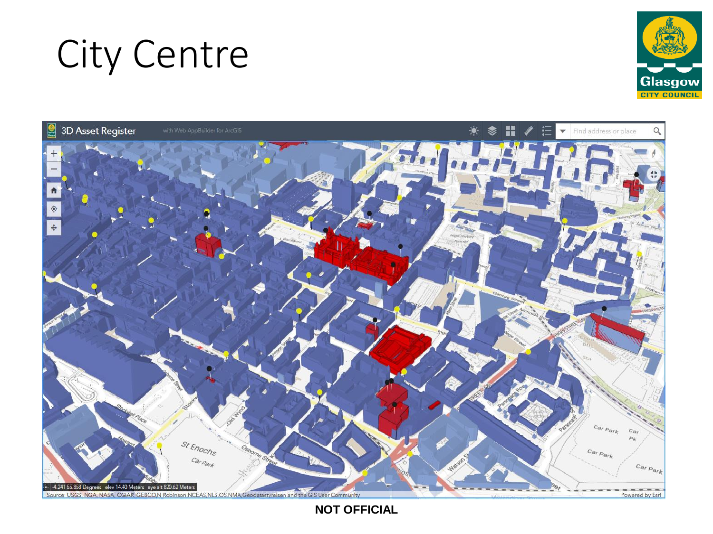#### City Centre





**NOT OFFICIAL**